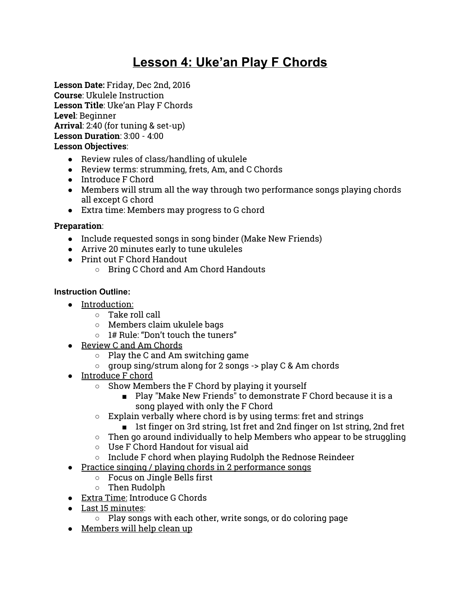# **Lesson 4: Uke'an Play F Chords**

**Lesson Date:** Friday, Dec 2nd, 2016 **Course**: Ukulele Instruction **Lesson Title**: Uke'an Play F Chords **Level**: Beginner **Arrival**: 2:40 (for tuning & set-up) **Lesson Duration**: 3:00 - 4:00 **Lesson Objectives**:

- Review rules of class/handling of ukulele
- Review terms: strumming, frets, Am, and C Chords
- Introduce F Chord
- Members will strum all the way through two performance songs playing chords all except G chord
- Extra time: Members may progress to G chord

# **Preparation**:

- Include requested songs in song binder (Make New Friends)
- Arrive 20 minutes early to tune ukuleles
- Print out F Chord Handout
	- Bring C Chord and Am Chord Handouts

# **Instruction Outline:**

- Introduction:
	- $\circ$  Take roll call
	- Members claim ukulele bags
	- 1# Rule: "Don't touch the tuners"
- Review C and Am Chords
	- $\circ$  Play the C and Am switching game
	- group sing/strum along for 2 songs -> play C & Am chords
- Introduce F chord
	- Show Members the F Chord by playing it yourself
		- Play "Make New Friends" to demonstrate F Chord because it is a song played with only the F Chord
	- $\circ$  Explain verbally where chord is by using terms: fret and strings
		- 1st finger on 3rd string, 1st fret and 2nd finger on 1st string, 2nd fret
	- $\circ$  Then go around individually to help Members who appear to be struggling
	- $\circ$  Use F Chord Handout for visual aid
	- Include F chord when playing Rudolph the Rednose Reindeer
- Practice singing / playing chords in 2 performance songs
	- Focus on Jingle Bells first
	- Then Rudolph
- Extra Time: Introduce G Chords
- Last 15 minutes:
	- Play songs with each other, write songs, or do coloring page
- Members will help clean up